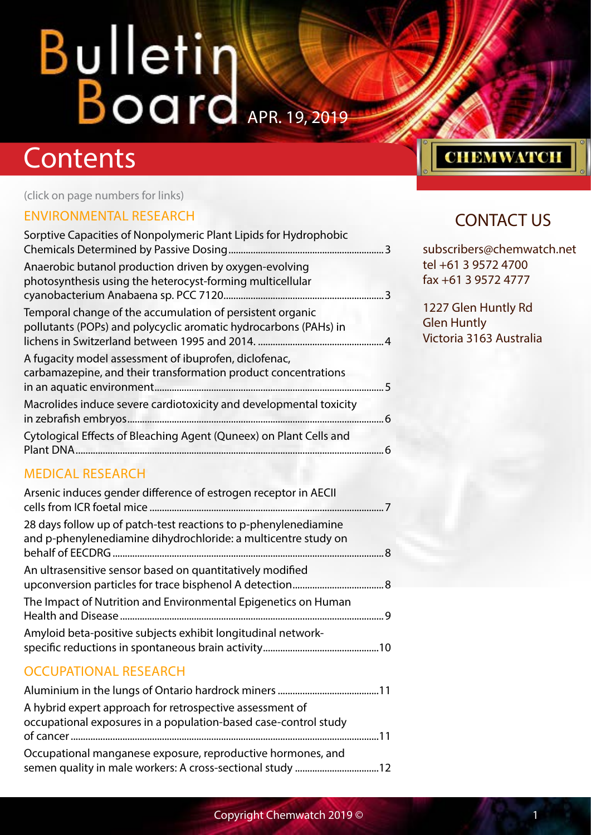## **Contents**

(click on page numbers for links)

#### [ENVIRONMENTAL RESEARCH](#page-2-0)

| Sorptive Capacities of Nonpolymeric Plant Lipids for Hydrophobic                                                              |    |
|-------------------------------------------------------------------------------------------------------------------------------|----|
| Anaerobic butanol production driven by oxygen-evolving<br>photosynthesis using the heterocyst-forming multicellular           | 3  |
| Temporal change of the accumulation of persistent organic<br>pollutants (POPs) and polycyclic aromatic hydrocarbons (PAHs) in |    |
| A fugacity model assessment of ibuprofen, diclofenac,<br>carbamazepine, and their transformation product concentrations       | 5  |
| Macrolides induce severe cardiotoxicity and developmental toxicity                                                            | .6 |
| Cytological Effects of Bleaching Agent (Quneex) on Plant Cells and<br>Plant DNA.                                              |    |

#### [MEDICAL RESEARCH](#page-6-0)

| Arsenic induces gender difference of estrogen receptor in AECII                                                                   |  |
|-----------------------------------------------------------------------------------------------------------------------------------|--|
| 28 days follow up of patch-test reactions to p-phenylenediamine<br>and p-phenylenediamine dihydrochloride: a multicentre study on |  |
| An ultrasensitive sensor based on quantitatively modified                                                                         |  |
| The Impact of Nutrition and Environmental Epigenetics on Human                                                                    |  |
| Amyloid beta-positive subjects exhibit longitudinal network-                                                                      |  |

#### [OCCUPATIONAL RESEARCH](#page-10-0)

| A hybrid expert approach for retrospective assessment of<br>occupational exposures in a population-based case-control study |  |
|-----------------------------------------------------------------------------------------------------------------------------|--|
| Occupational manganese exposure, reproductive hormones, and                                                                 |  |

### **CHEMWATCH**

#### CONTACT US

subscribers@chemwatch.net tel +61 3 9572 4700 fax +61 3 9572 4777

1227 Glen Huntly Rd Glen Huntly Victoria 3163 Australia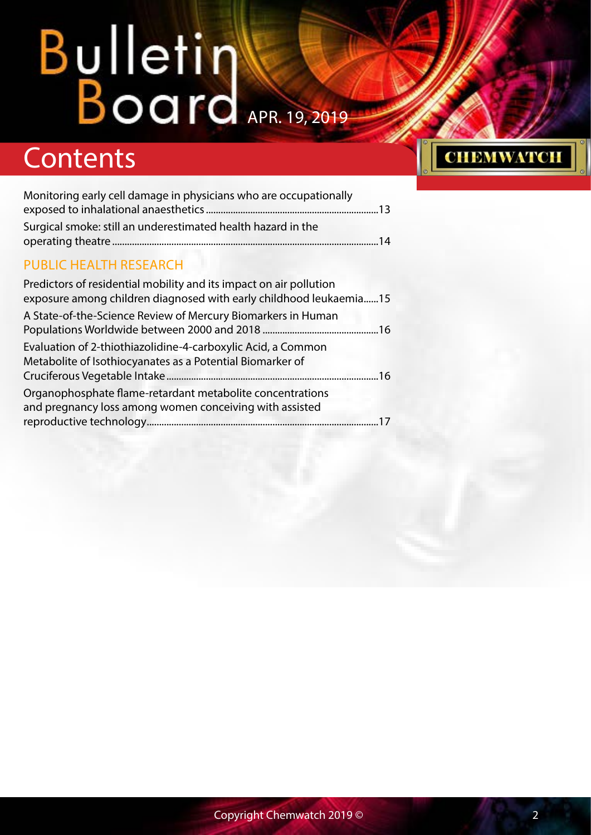## **Contents**

| Monitoring early cell damage in physicians who are occupationally |  |
|-------------------------------------------------------------------|--|
|                                                                   |  |
| Surgical smoke: still an underestimated health hazard in the      |  |
|                                                                   |  |

#### [PUBLIC HEALTH RESEARCH](#page-14-0)

| Predictors of residential mobility and its impact on air pollution<br>exposure among children diagnosed with early childhood leukaemia15 |  |
|------------------------------------------------------------------------------------------------------------------------------------------|--|
| A State-of-the-Science Review of Mercury Biomarkers in Human                                                                             |  |
| Evaluation of 2-thiothiazolidine-4-carboxylic Acid, a Common<br>Metabolite of Isothiocyanates as a Potential Biomarker of                |  |
| Organophosphate flame-retardant metabolite concentrations<br>and pregnancy loss among women conceiving with assisted                     |  |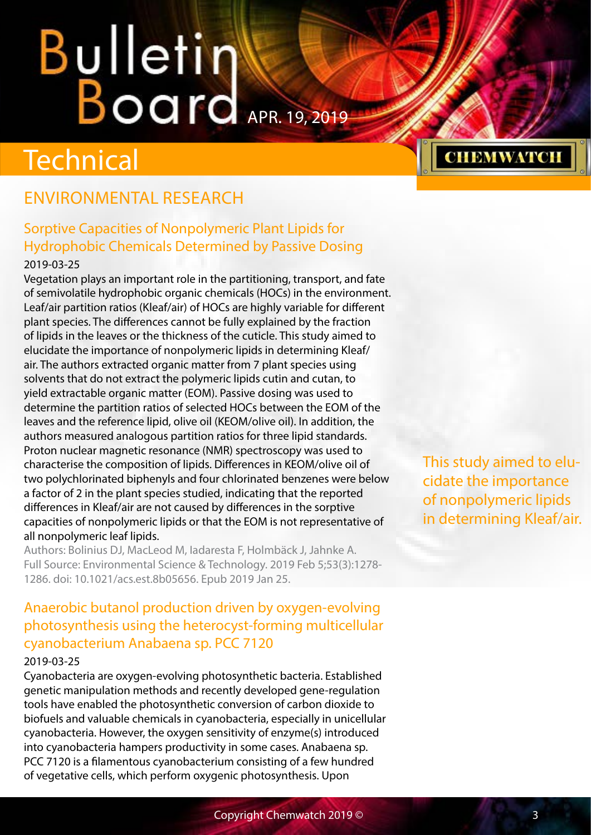# <span id="page-2-0"></span>**Bulletin Karl Board**

## **Technical**

#### ENVIRONMENTAL RESEARCH

#### Sorptive Capacities of Nonpolymeric Plant Lipids for Hydrophobic Chemicals Determined by Passive Dosing

#### 2019-03-25

Vegetation plays an important role in the partitioning, transport, and fate of semivolatile hydrophobic organic chemicals (HOCs) in the environment. Leaf/air partition ratios (Kleaf/air) of HOCs are highly variable for different plant species. The differences cannot be fully explained by the fraction of lipids in the leaves or the thickness of the cuticle. This study aimed to elucidate the importance of nonpolymeric lipids in determining Kleaf/ air. The authors extracted organic matter from 7 plant species using solvents that do not extract the polymeric lipids cutin and cutan, to yield extractable organic matter (EOM). Passive dosing was used to determine the partition ratios of selected HOCs between the EOM of the leaves and the reference lipid, olive oil (KEOM/olive oil). In addition, the authors measured analogous partition ratios for three lipid standards. Proton nuclear magnetic resonance (NMR) spectroscopy was used to characterise the composition of lipids. Differences in KEOM/olive oil of two polychlorinated biphenyls and four chlorinated benzenes were below a factor of 2 in the plant species studied, indicating that the reported differences in Kleaf/air are not caused by differences in the sorptive capacities of nonpolymeric lipids or that the EOM is not representative of all nonpolymeric leaf lipids.

Authors: Bolinius DJ, MacLeod M, Iadaresta F, Holmbäck J, Jahnke A. Full Source: Environmental Science & Technology. 2019 Feb 5;53(3):1278- 1286. doi: 10.1021/acs.est.8b05656. Epub 2019 Jan 25.

#### Anaerobic butanol production driven by oxygen-evolving photosynthesis using the heterocyst-forming multicellular cyanobacterium Anabaena sp. PCC 7120

#### 2019-03-25

Cyanobacteria are oxygen-evolving photosynthetic bacteria. Established genetic manipulation methods and recently developed gene-regulation tools have enabled the photosynthetic conversion of carbon dioxide to biofuels and valuable chemicals in cyanobacteria, especially in unicellular cyanobacteria. However, the oxygen sensitivity of enzyme(s) introduced into cyanobacteria hampers productivity in some cases. Anabaena sp. PCC 7120 is a filamentous cyanobacterium consisting of a few hundred of vegetative cells, which perform oxygenic photosynthesis. Upon



This study aimed to elucidate the importance of nonpolymeric lipids in determining Kleaf/air.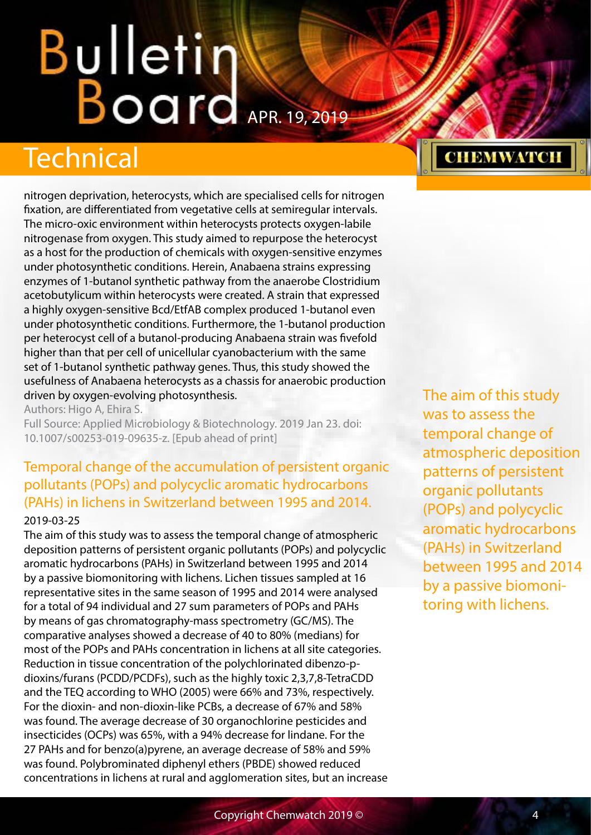## <span id="page-3-0"></span>Bulletin Board APR. 19, 2019

## Technical

nitrogen deprivation, heterocysts, which are specialised cells for nitrogen fixation, are differentiated from vegetative cells at semiregular intervals. The micro-oxic environment within heterocysts protects oxygen-labile nitrogenase from oxygen. This study aimed to repurpose the heterocyst as a host for the production of chemicals with oxygen-sensitive enzymes under photosynthetic conditions. Herein, Anabaena strains expressing enzymes of 1-butanol synthetic pathway from the anaerobe Clostridium acetobutylicum within heterocysts were created. A strain that expressed a highly oxygen-sensitive Bcd/EtfAB complex produced 1-butanol even under photosynthetic conditions. Furthermore, the 1-butanol production per heterocyst cell of a butanol-producing Anabaena strain was fivefold higher than that per cell of unicellular cyanobacterium with the same set of 1-butanol synthetic pathway genes. Thus, this study showed the usefulness of Anabaena heterocysts as a chassis for anaerobic production driven by oxygen-evolving photosynthesis.

Authors: Higo A, Ehira S.

Full Source: Applied Microbiology & Biotechnology. 2019 Jan 23. doi: 10.1007/s00253-019-09635-z. [Epub ahead of print]

#### Temporal change of the accumulation of persistent organic pollutants (POPs) and polycyclic aromatic hydrocarbons (PAHs) in lichens in Switzerland between 1995 and 2014. 2019-03-25

The aim of this study was to assess the temporal change of atmospheric deposition patterns of persistent organic pollutants (POPs) and polycyclic aromatic hydrocarbons (PAHs) in Switzerland between 1995 and 2014 by a passive biomonitoring with lichens. Lichen tissues sampled at 16 representative sites in the same season of 1995 and 2014 were analysed for a total of 94 individual and 27 sum parameters of POPs and PAHs by means of gas chromatography-mass spectrometry (GC/MS). The comparative analyses showed a decrease of 40 to 80% (medians) for most of the POPs and PAHs concentration in lichens at all site categories. Reduction in tissue concentration of the polychlorinated dibenzo-pdioxins/furans (PCDD/PCDFs), such as the highly toxic 2,3,7,8-TetraCDD and the TEQ according to WHO (2005) were 66% and 73%, respectively. For the dioxin- and non-dioxin-like PCBs, a decrease of 67% and 58% was found. The average decrease of 30 organochlorine pesticides and insecticides (OCPs) was 65%, with a 94% decrease for lindane. For the 27 PAHs and for benzo(a)pyrene, an average decrease of 58% and 59% was found. Polybrominated diphenyl ethers (PBDE) showed reduced concentrations in lichens at rural and agglomeration sites, but an increase

#### The aim of this study was to assess the temporal change of atmospheric deposition patterns of persistent organic pollutants (POPs) and polycyclic aromatic hydrocarbons (PAHs) in Switzerland between 1995 and 2014 by a passive biomonitoring with lichens.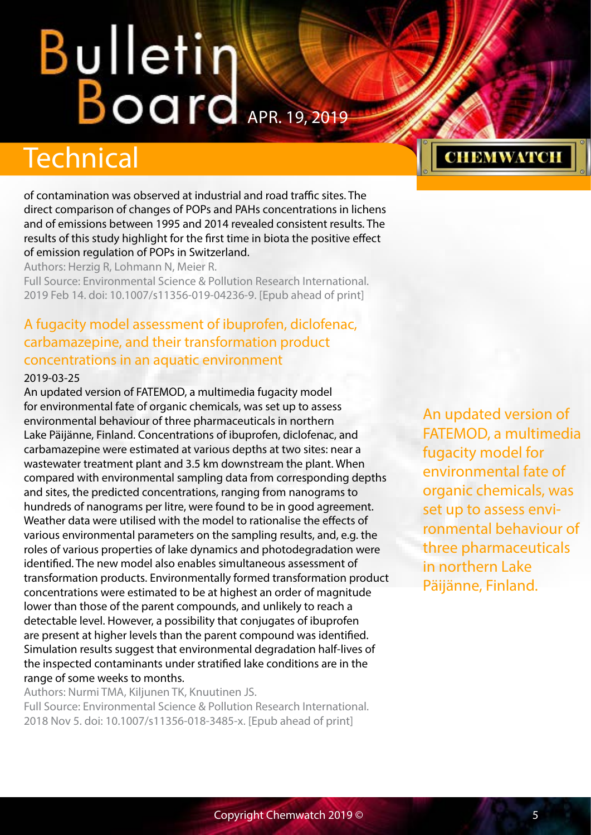## <span id="page-4-0"></span>**Bulletin Warrell**

### **Technical**

of contamination was observed at industrial and road traffic sites. The direct comparison of changes of POPs and PAHs concentrations in lichens and of emissions between 1995 and 2014 revealed consistent results. The results of this study highlight for the first time in biota the positive effect of emission regulation of POPs in Switzerland.

Authors: Herzig R, Lohmann N, Meier R.

Full Source: Environmental Science & Pollution Research International. 2019 Feb 14. doi: 10.1007/s11356-019-04236-9. [Epub ahead of print]

#### A fugacity model assessment of ibuprofen, diclofenac, carbamazepine, and their transformation product concentrations in an aquatic environment

#### 2019-03-25

An updated version of FATEMOD, a multimedia fugacity model for environmental fate of organic chemicals, was set up to assess environmental behaviour of three pharmaceuticals in northern Lake Päijänne, Finland. Concentrations of ibuprofen, diclofenac, and carbamazepine were estimated at various depths at two sites: near a wastewater treatment plant and 3.5 km downstream the plant. When compared with environmental sampling data from corresponding depths and sites, the predicted concentrations, ranging from nanograms to hundreds of nanograms per litre, were found to be in good agreement. Weather data were utilised with the model to rationalise the effects of various environmental parameters on the sampling results, and, e.g. the roles of various properties of lake dynamics and photodegradation were identified. The new model also enables simultaneous assessment of transformation products. Environmentally formed transformation product concentrations were estimated to be at highest an order of magnitude lower than those of the parent compounds, and unlikely to reach a detectable level. However, a possibility that conjugates of ibuprofen are present at higher levels than the parent compound was identified. Simulation results suggest that environmental degradation half-lives of the inspected contaminants under stratified lake conditions are in the range of some weeks to months.

Authors: Nurmi TMA, Kiljunen TK, Knuutinen JS. Full Source: Environmental Science & Pollution Research International. 2018 Nov 5. doi: 10.1007/s11356-018-3485-x. [Epub ahead of print]

An updated version of FATEMOD, a multimedia fugacity model for environmental fate of organic chemicals, was set up to assess environmental behaviour of three pharmaceuticals in northern Lake Päijänne, Finland.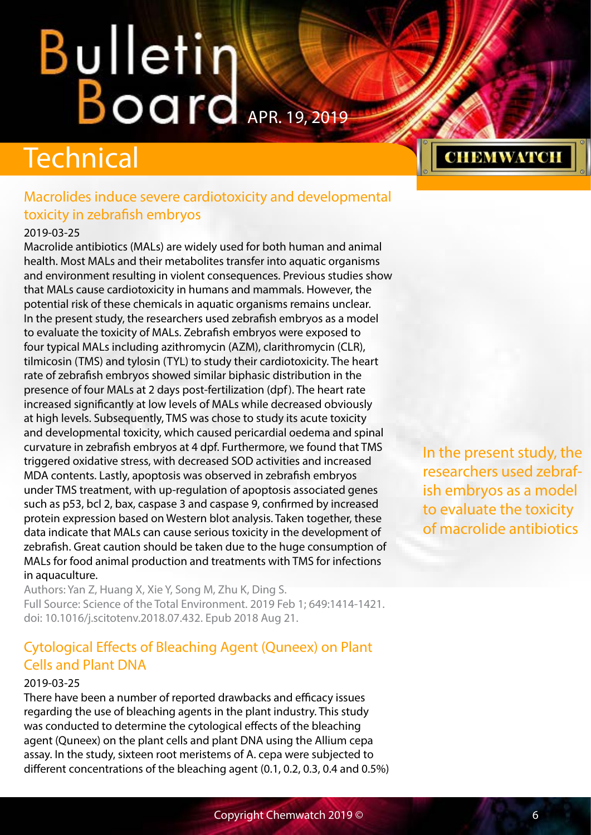## <span id="page-5-0"></span>**Bulletin Board**

## Technical

#### Macrolides induce severe cardiotoxicity and developmental toxicity in zebrafish embryos

#### 2019-03-25

Macrolide antibiotics (MALs) are widely used for both human and animal health. Most MALs and their metabolites transfer into aquatic organisms and environment resulting in violent consequences. Previous studies show that MALs cause cardiotoxicity in humans and mammals. However, the potential risk of these chemicals in aquatic organisms remains unclear. In the present study, the researchers used zebrafish embryos as a model to evaluate the toxicity of MALs. Zebrafish embryos were exposed to four typical MALs including azithromycin (AZM), clarithromycin (CLR), tilmicosin (TMS) and tylosin (TYL) to study their cardiotoxicity. The heart rate of zebrafish embryos showed similar biphasic distribution in the presence of four MALs at 2 days post-fertilization (dpf). The heart rate increased significantly at low levels of MALs while decreased obviously at high levels. Subsequently, TMS was chose to study its acute toxicity and developmental toxicity, which caused pericardial oedema and spinal curvature in zebrafish embryos at 4 dpf. Furthermore, we found that TMS triggered oxidative stress, with decreased SOD activities and increased MDA contents. Lastly, apoptosis was observed in zebrafish embryos under TMS treatment, with up-regulation of apoptosis associated genes such as p53, bcl 2, bax, caspase 3 and caspase 9, confirmed by increased protein expression based on Western blot analysis. Taken together, these data indicate that MALs can cause serious toxicity in the development of zebrafish. Great caution should be taken due to the huge consumption of MALs for food animal production and treatments with TMS for infections in aquaculture.

Authors: Yan Z, Huang X, Xie Y, Song M, Zhu K, Ding S. Full Source: Science of the Total Environment. 2019 Feb 1; 649:1414-1421. doi: 10.1016/j.scitotenv.2018.07.432. Epub 2018 Aug 21.

#### Cytological Effects of Bleaching Agent (Quneex) on Plant Cells and Plant DNA

#### 2019-03-25

There have been a number of reported drawbacks and efficacy issues regarding the use of bleaching agents in the plant industry. This study was conducted to determine the cytological effects of the bleaching agent (Quneex) on the plant cells and plant DNA using the Allium cepa assay. In the study, sixteen root meristems of A. cepa were subjected to different concentrations of the bleaching agent (0.1, 0.2, 0.3, 0.4 and 0.5%) **CHEMWATCH** 

In the present study, the researchers used zebrafish embryos as a model to evaluate the toxicity of macrolide antibiotics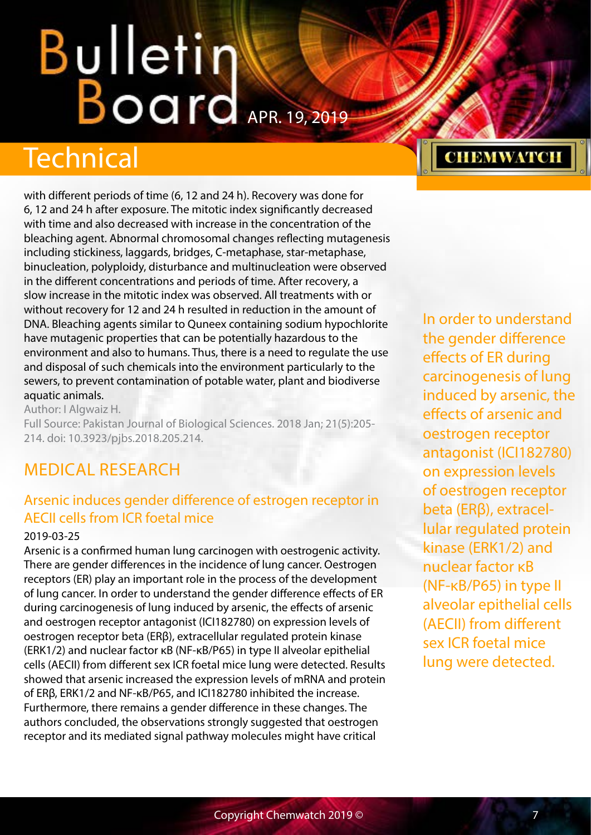## <span id="page-6-0"></span>**Bulletin Karl Board**

## **Technical**

with different periods of time (6, 12 and 24 h). Recovery was done for 6, 12 and 24 h after exposure. The mitotic index significantly decreased with time and also decreased with increase in the concentration of the bleaching agent. Abnormal chromosomal changes reflecting mutagenesis including stickiness, laggards, bridges, C-metaphase, star-metaphase, binucleation, polyploidy, disturbance and multinucleation were observed in the different concentrations and periods of time. After recovery, a slow increase in the mitotic index was observed. All treatments with or without recovery for 12 and 24 h resulted in reduction in the amount of DNA. Bleaching agents similar to Quneex containing sodium hypochlorite have mutagenic properties that can be potentially hazardous to the environment and also to humans. Thus, there is a need to regulate the use and disposal of such chemicals into the environment particularly to the sewers, to prevent contamination of potable water, plant and biodiverse aquatic animals.

Author: I Algwaiz H.

Full Source: Pakistan Journal of Biological Sciences. 2018 Jan; 21(5):205- 214. doi: 10.3923/pjbs.2018.205.214.

#### MEDICAL RESEARCH

#### Arsenic induces gender difference of estrogen receptor in AECII cells from ICR foetal mice

#### 2019-03-25

Arsenic is a confirmed human lung carcinogen with oestrogenic activity. There are gender differences in the incidence of lung cancer. Oestrogen receptors (ER) play an important role in the process of the development of lung cancer. In order to understand the gender difference effects of ER during carcinogenesis of lung induced by arsenic, the effects of arsenic and oestrogen receptor antagonist (ICI182780) on expression levels of oestrogen receptor beta (ERβ), extracellular regulated protein kinase (ERK1/2) and nuclear factor κB (NF-κB/P65) in type II alveolar epithelial cells (AECII) from different sex ICR foetal mice lung were detected. Results showed that arsenic increased the expression levels of mRNA and protein of ERβ, ERK1/2 and NF-κB/P65, and ICI182780 inhibited the increase. Furthermore, there remains a gender difference in these changes. The authors concluded, the observations strongly suggested that oestrogen receptor and its mediated signal pathway molecules might have critical

### **CHEMWATCH**

In order to understand the gender difference effects of ER during carcinogenesis of lung induced by arsenic, the effects of arsenic and oestrogen receptor antagonist (ICI182780) on expression levels of oestrogen receptor beta (ERβ), extracellular regulated protein kinase (ERK1/2) and nuclear factor κB (NF-κB/P65) in type II alveolar epithelial cells (AECII) from different sex ICR foetal mice lung were detected.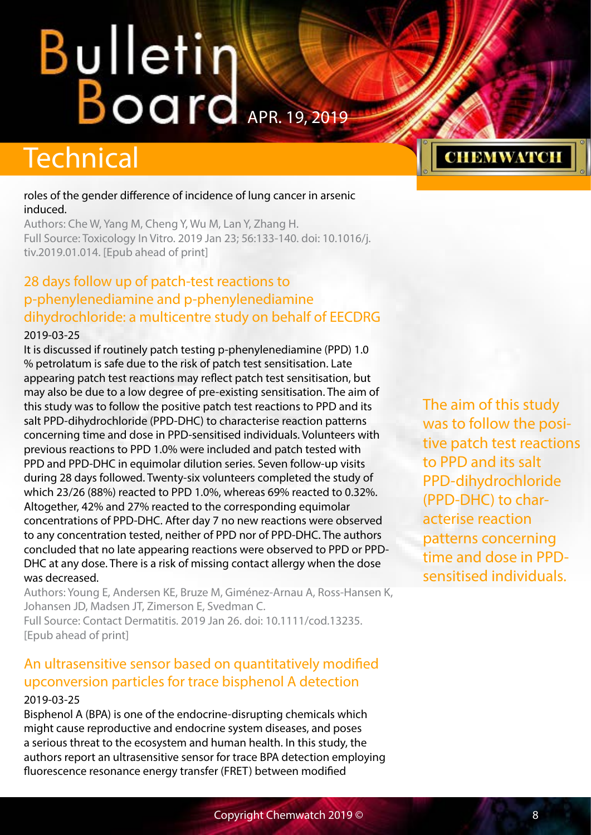## <span id="page-7-0"></span>**Bulletintendents**

## **Technical**

#### roles of the gender difference of incidence of lung cancer in arsenic induced.

Authors: Che W, Yang M, Cheng Y, Wu M, Lan Y, Zhang H. Full Source: Toxicology In Vitro. 2019 Jan 23; 56:133-140. doi: 10.1016/j. tiv.2019.01.014. [Epub ahead of print]

#### 28 days follow up of patch-test reactions to p-phenylenediamine and p-phenylenediamine dihydrochloride: a multicentre study on behalf of EECDRG

#### 2019-03-25

It is discussed if routinely patch testing p-phenylenediamine (PPD) 1.0 % petrolatum is safe due to the risk of patch test sensitisation. Late appearing patch test reactions may reflect patch test sensitisation, but may also be due to a low degree of pre-existing sensitisation. The aim of this study was to follow the positive patch test reactions to PPD and its salt PPD-dihydrochloride (PPD-DHC) to characterise reaction patterns concerning time and dose in PPD-sensitised individuals. Volunteers with previous reactions to PPD 1.0% were included and patch tested with PPD and PPD-DHC in equimolar dilution series. Seven follow-up visits during 28 days followed. Twenty-six volunteers completed the study of which 23/26 (88%) reacted to PPD 1.0%, whereas 69% reacted to 0.32%. Altogether, 42% and 27% reacted to the corresponding equimolar concentrations of PPD-DHC. After day 7 no new reactions were observed to any concentration tested, neither of PPD nor of PPD-DHC. The authors concluded that no late appearing reactions were observed to PPD or PPD-DHC at any dose. There is a risk of missing contact allergy when the dose was decreased.

Authors: Young E, Andersen KE, Bruze M, Giménez-Arnau A, Ross-Hansen K, Johansen JD, Madsen JT, Zimerson E, Svedman C. Full Source: Contact Dermatitis. 2019 Jan 26. doi: 10.1111/cod.13235. [Epub ahead of print]

#### An ultrasensitive sensor based on quantitatively modified upconversion particles for trace bisphenol A detection

#### 2019-03-25

Bisphenol A (BPA) is one of the endocrine-disrupting chemicals which might cause reproductive and endocrine system diseases, and poses a serious threat to the ecosystem and human health. In this study, the authors report an ultrasensitive sensor for trace BPA detection employing fluorescence resonance energy transfer (FRET) between modified

The aim of this study was to follow the positive patch test reactions to PPD and its salt PPD-dihydrochloride (PPD-DHC) to characterise reaction patterns concerning time and dose in PPDsensitised individuals.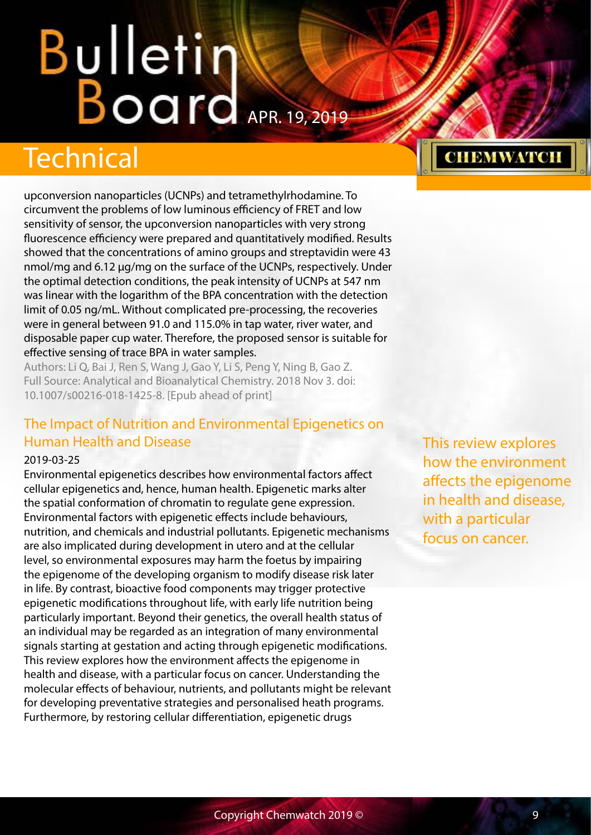## <span id="page-8-0"></span>**Bulletin Windows**

## Technical

upconversion nanoparticles (UCNPs) and tetramethylrhodamine. To circumvent the problems of low luminous efficiency of FRET and low sensitivity of sensor, the upconversion nanoparticles with very strong fluorescence efficiency were prepared and quantitatively modified. Results showed that the concentrations of amino groups and streptavidin were 43 nmol/mg and 6.12 μg/mg on the surface of the UCNPs, respectively. Under the optimal detection conditions, the peak intensity of UCNPs at 547 nm was linear with the logarithm of the BPA concentration with the detection limit of 0.05 ng/mL. Without complicated pre-processing, the recoveries were in general between 91.0 and 115.0% in tap water, river water, and disposable paper cup water. Therefore, the proposed sensor is suitable for effective sensing of trace BPA in water samples.

Authors: Li Q, Bai J, Ren S, Wang J, Gao Y, Li S, Peng Y, Ning B, Gao Z. Full Source: Analytical and Bioanalytical Chemistry. 2018 Nov 3. doi: 10.1007/s00216-018-1425-8. [Epub ahead of print]

#### The Impact of Nutrition and Environmental Epigenetics on Human Health and Disease

#### 2019-03-25

Environmental epigenetics describes how environmental factors affect cellular epigenetics and, hence, human health. Epigenetic marks alter the spatial conformation of chromatin to regulate gene expression. Environmental factors with epigenetic effects include behaviours, nutrition, and chemicals and industrial pollutants. Epigenetic mechanisms are also implicated during development in utero and at the cellular level, so environmental exposures may harm the foetus by impairing the epigenome of the developing organism to modify disease risk later in life. By contrast, bioactive food components may trigger protective epigenetic modifications throughout life, with early life nutrition being particularly important. Beyond their genetics, the overall health status of an individual may be regarded as an integration of many environmental signals starting at gestation and acting through epigenetic modifications. This review explores how the environment affects the epigenome in health and disease, with a particular focus on cancer. Understanding the molecular effects of behaviour, nutrients, and pollutants might be relevant for developing preventative strategies and personalised heath programs. Furthermore, by restoring cellular differentiation, epigenetic drugs

This review explores how the environment affects the epigenome in health and disease, with a particular focus on cancer.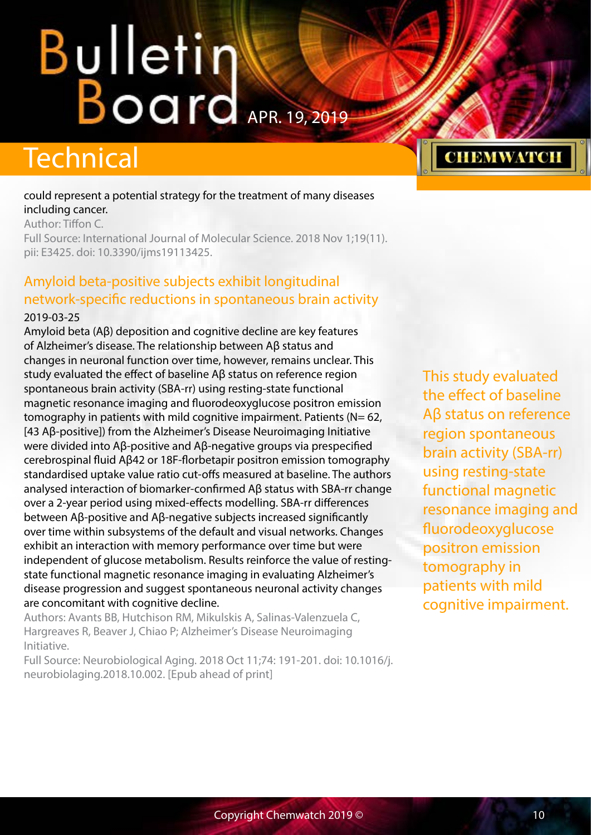## <span id="page-9-0"></span>**Bulletin Windows**

### **Technical**

#### could represent a potential strategy for the treatment of many diseases including cancer.

Author: Tiffon C.

Full Source: International Journal of Molecular Science. 2018 Nov 1;19(11). pii: E3425. doi: 10.3390/ijms19113425.

#### Amyloid beta-positive subjects exhibit longitudinal network-specific reductions in spontaneous brain activity 2019-03-25

Amyloid beta (Aβ) deposition and cognitive decline are key features of Alzheimer's disease. The relationship between Aβ status and changes in neuronal function over time, however, remains unclear. This study evaluated the effect of baseline Aβ status on reference region spontaneous brain activity (SBA-rr) using resting-state functional magnetic resonance imaging and fluorodeoxyglucose positron emission tomography in patients with mild cognitive impairment. Patients (N= 62, [43 Aβ-positive]) from the Alzheimer's Disease Neuroimaging Initiative were divided into Aβ-positive and Aβ-negative groups via prespecified cerebrospinal fluid Aβ42 or 18F-florbetapir positron emission tomography standardised uptake value ratio cut-offs measured at baseline. The authors analysed interaction of biomarker-confirmed Aβ status with SBA-rr change over a 2-year period using mixed-effects modelling. SBA-rr differences between Aβ-positive and Aβ-negative subjects increased significantly over time within subsystems of the default and visual networks. Changes exhibit an interaction with memory performance over time but were independent of glucose metabolism. Results reinforce the value of restingstate functional magnetic resonance imaging in evaluating Alzheimer's disease progression and suggest spontaneous neuronal activity changes are concomitant with cognitive decline.

Authors: Avants BB, Hutchison RM, Mikulskis A, Salinas-Valenzuela C, Hargreaves R, Beaver J, Chiao P; Alzheimer's Disease Neuroimaging Initiative.

Full Source: Neurobiological Aging. 2018 Oct 11;74: 191-201. doi: 10.1016/j. neurobiolaging.2018.10.002. [Epub ahead of print]

This study evaluated the effect of baseline Aβ status on reference region spontaneous brain activity (SBA-rr) using resting-state functional magnetic resonance imaging and fluorodeoxyglucose positron emission tomography in patients with mild cognitive impairment.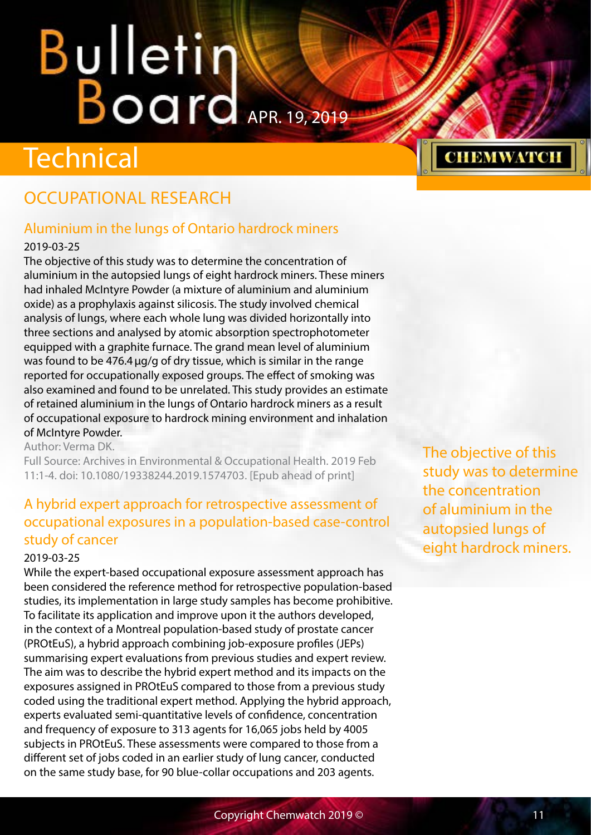# <span id="page-10-0"></span>**Bulletin Warrell**

## **Technical**

#### OCCUPATIONAL RESEARCH

#### Aluminium in the lungs of Ontario hardrock miners

#### 2019-03-25

The objective of this study was to determine the concentration of aluminium in the autopsied lungs of eight hardrock miners. These miners had inhaled McIntyre Powder (a mixture of aluminium and aluminium oxide) as a prophylaxis against silicosis. The study involved chemical analysis of lungs, where each whole lung was divided horizontally into three sections and analysed by atomic absorption spectrophotometer equipped with a graphite furnace. The grand mean level of aluminium was found to be 476.4 µg/g of dry tissue, which is similar in the range reported for occupationally exposed groups. The effect of smoking was also examined and found to be unrelated. This study provides an estimate of retained aluminium in the lungs of Ontario hardrock miners as a result of occupational exposure to hardrock mining environment and inhalation of McIntyre Powder.

Author: Verma DK.

Full Source: Archives in Environmental & Occupational Health. 2019 Feb 11:1-4. doi: 10.1080/19338244.2019.1574703. [Epub ahead of print]

#### A hybrid expert approach for retrospective assessment of occupational exposures in a population-based case-control study of cancer

#### 2019-03-25

While the expert-based occupational exposure assessment approach has been considered the reference method for retrospective population-based studies, its implementation in large study samples has become prohibitive. To facilitate its application and improve upon it the authors developed, in the context of a Montreal population-based study of prostate cancer (PROtEuS), a hybrid approach combining job-exposure profiles (JEPs) summarising expert evaluations from previous studies and expert review. The aim was to describe the hybrid expert method and its impacts on the exposures assigned in PROtEuS compared to those from a previous study coded using the traditional expert method. Applying the hybrid approach, experts evaluated semi-quantitative levels of confidence, concentration and frequency of exposure to 313 agents for 16,065 jobs held by 4005 subjects in PROtEuS. These assessments were compared to those from a different set of jobs coded in an earlier study of lung cancer, conducted on the same study base, for 90 blue-collar occupations and 203 agents.

The objective of this study was to determine the concentration of aluminium in the autopsied lungs of eight hardrock miners.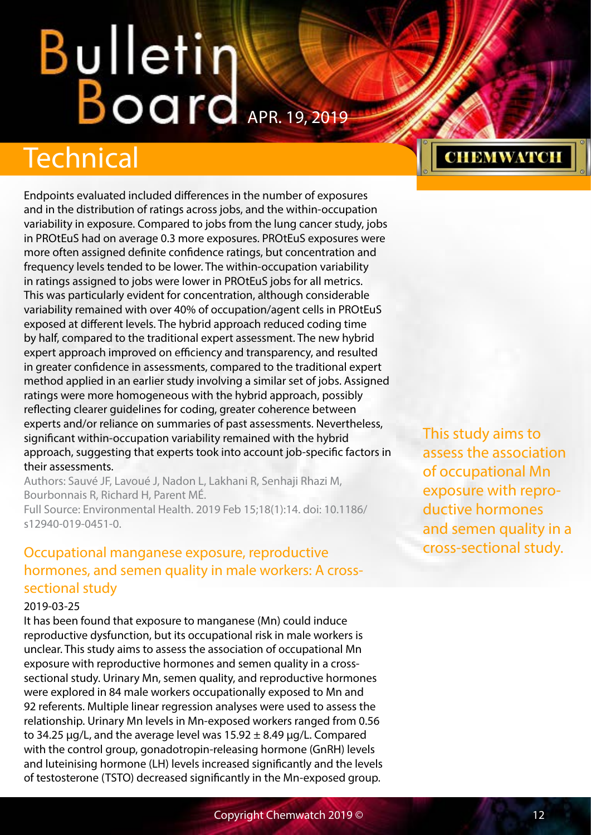## <span id="page-11-0"></span>**Bulletin Board**

## **Technical**

Endpoints evaluated included differences in the number of exposures and in the distribution of ratings across jobs, and the within-occupation variability in exposure. Compared to jobs from the lung cancer study, jobs in PROtEuS had on average 0.3 more exposures. PROtEuS exposures were more often assigned definite confidence ratings, but concentration and frequency levels tended to be lower. The within-occupation variability in ratings assigned to jobs were lower in PROtEuS jobs for all metrics. This was particularly evident for concentration, although considerable variability remained with over 40% of occupation/agent cells in PROtEuS exposed at different levels. The hybrid approach reduced coding time by half, compared to the traditional expert assessment. The new hybrid expert approach improved on efficiency and transparency, and resulted in greater confidence in assessments, compared to the traditional expert method applied in an earlier study involving a similar set of jobs. Assigned ratings were more homogeneous with the hybrid approach, possibly reflecting clearer guidelines for coding, greater coherence between experts and/or reliance on summaries of past assessments. Nevertheless, significant within-occupation variability remained with the hybrid approach, suggesting that experts took into account job-specific factors in their assessments.

Authors: Sauvé JF, Lavoué J, Nadon L, Lakhani R, Senhaji Rhazi M, Bourbonnais R, Richard H, Parent MÉ.

Full Source: Environmental Health. 2019 Feb 15;18(1):14. doi: 10.1186/ s12940-019-0451-0.

#### Occupational manganese exposure, reproductive hormones, and semen quality in male workers: A crosssectional study

#### 2019-03-25

It has been found that exposure to manganese (Mn) could induce reproductive dysfunction, but its occupational risk in male workers is unclear. This study aims to assess the association of occupational Mn exposure with reproductive hormones and semen quality in a crosssectional study. Urinary Mn, semen quality, and reproductive hormones were explored in 84 male workers occupationally exposed to Mn and 92 referents. Multiple linear regression analyses were used to assess the relationship. Urinary Mn levels in Mn-exposed workers ranged from 0.56 to 34.25  $\mu$ g/L, and the average level was 15.92  $\pm$  8.49  $\mu$ g/L. Compared with the control group, gonadotropin-releasing hormone (GnRH) levels and luteinising hormone (LH) levels increased significantly and the levels of testosterone (TSTO) decreased significantly in the Mn-exposed group.

This study aims to assess the association of occupational Mn exposure with reproductive hormones and semen quality in a cross-sectional study.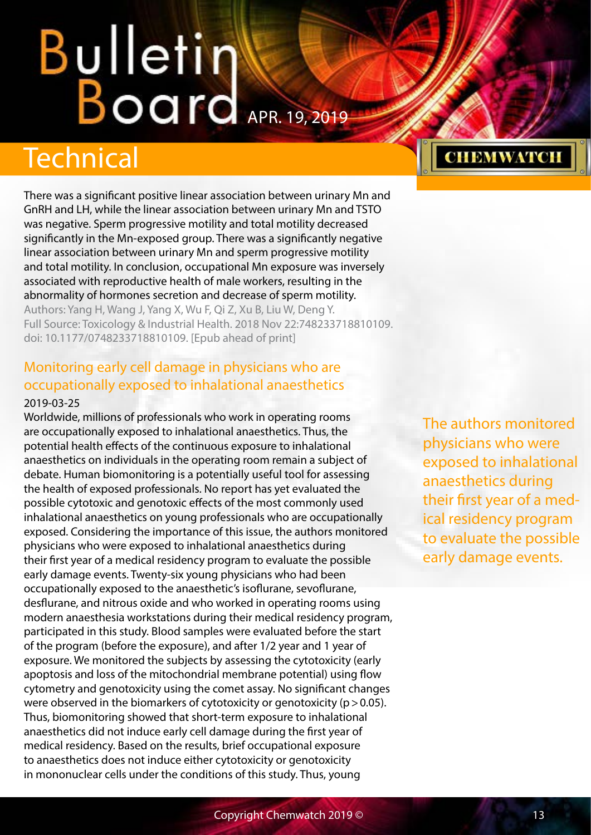## <span id="page-12-0"></span>Technical

There was a significant positive linear association between urinary Mn and GnRH and LH, while the linear association between urinary Mn and TSTO was negative. Sperm progressive motility and total motility decreased significantly in the Mn-exposed group. There was a significantly negative linear association between urinary Mn and sperm progressive motility and total motility. In conclusion, occupational Mn exposure was inversely associated with reproductive health of male workers, resulting in the abnormality of hormones secretion and decrease of sperm motility. Authors: Yang H, Wang J, Yang X, Wu F, Qi Z, Xu B, Liu W, Deng Y. Full Source: Toxicology & Industrial Health. 2018 Nov 22:748233718810109. doi: 10.1177/0748233718810109. [Epub ahead of print]

#### Monitoring early cell damage in physicians who are occupationally exposed to inhalational anaesthetics

#### 2019-03-25

Worldwide, millions of professionals who work in operating rooms are occupationally exposed to inhalational anaesthetics. Thus, the potential health effects of the continuous exposure to inhalational anaesthetics on individuals in the operating room remain a subject of debate. Human biomonitoring is a potentially useful tool for assessing the health of exposed professionals. No report has yet evaluated the possible cytotoxic and genotoxic effects of the most commonly used inhalational anaesthetics on young professionals who are occupationally exposed. Considering the importance of this issue, the authors monitored physicians who were exposed to inhalational anaesthetics during their first year of a medical residency program to evaluate the possible early damage events. Twenty-six young physicians who had been occupationally exposed to the anaesthetic's isoflurane, sevoflurane, desflurane, and nitrous oxide and who worked in operating rooms using modern anaesthesia workstations during their medical residency program, participated in this study. Blood samples were evaluated before the start of the program (before the exposure), and after 1/2 year and 1 year of exposure. We monitored the subjects by assessing the cytotoxicity (early apoptosis and loss of the mitochondrial membrane potential) using flow cytometry and genotoxicity using the comet assay. No significant changes were observed in the biomarkers of cytotoxicity or genotoxicity ( $p > 0.05$ ). Thus, biomonitoring showed that short-term exposure to inhalational anaesthetics did not induce early cell damage during the first year of medical residency. Based on the results, brief occupational exposure to anaesthetics does not induce either cytotoxicity or genotoxicity in mononuclear cells under the conditions of this study. Thus, young

The authors monitored physicians who were exposed to inhalational anaesthetics during their first year of a medical residency program to evaluate the possible early damage events.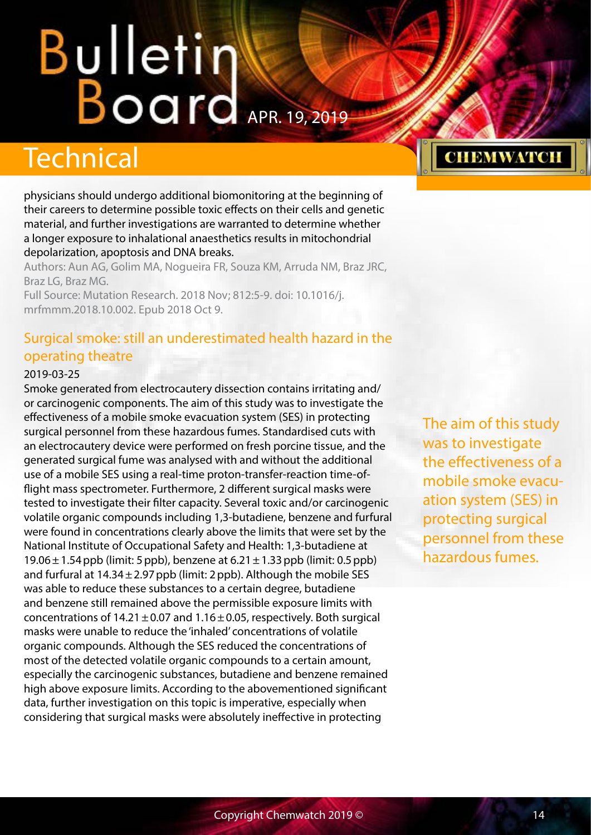## <span id="page-13-0"></span>**Bulletin Karl Board**

### Technical

physicians should undergo additional biomonitoring at the beginning of their careers to determine possible toxic effects on their cells and genetic material, and further investigations are warranted to determine whether a longer exposure to inhalational anaesthetics results in mitochondrial depolarization, apoptosis and DNA breaks.

Authors: Aun AG, Golim MA, Nogueira FR, Souza KM, Arruda NM, Braz JRC, Braz LG, Braz MG.

Full Source: Mutation Research. 2018 Nov; 812:5-9. doi: 10.1016/j. mrfmmm.2018.10.002. Epub 2018 Oct 9.

#### Surgical smoke: still an underestimated health hazard in the operating theatre

#### 2019-03-25

Smoke generated from electrocautery dissection contains irritating and/ or carcinogenic components. The aim of this study was to investigate the effectiveness of a mobile smoke evacuation system (SES) in protecting surgical personnel from these hazardous fumes. Standardised cuts with an electrocautery device were performed on fresh porcine tissue, and the generated surgical fume was analysed with and without the additional use of a mobile SES using a real-time proton-transfer-reaction time-offlight mass spectrometer. Furthermore, 2 different surgical masks were tested to investigate their filter capacity. Several toxic and/or carcinogenic volatile organic compounds including 1,3-butadiene, benzene and furfural were found in concentrations clearly above the limits that were set by the National Institute of Occupational Safety and Health: 1,3-butadiene at  $19.06 \pm 1.54$  ppb (limit: 5 ppb), benzene at  $6.21 \pm 1.33$  ppb (limit: 0.5 ppb) and furfural at  $14.34 \pm 2.97$  ppb (limit: 2 ppb). Although the mobile SES was able to reduce these substances to a certain degree, butadiene and benzene still remained above the permissible exposure limits with concentrations of  $14.21 \pm 0.07$  and  $1.16 \pm 0.05$ , respectively. Both surgical masks were unable to reduce the 'inhaled' concentrations of volatile organic compounds. Although the SES reduced the concentrations of most of the detected volatile organic compounds to a certain amount, especially the carcinogenic substances, butadiene and benzene remained high above exposure limits. According to the abovementioned significant data, further investigation on this topic is imperative, especially when considering that surgical masks were absolutely ineffective in protecting

The aim of this study was to investigate the effectiveness of a mobile smoke evacuation system (SES) in protecting surgical personnel from these hazardous fumes.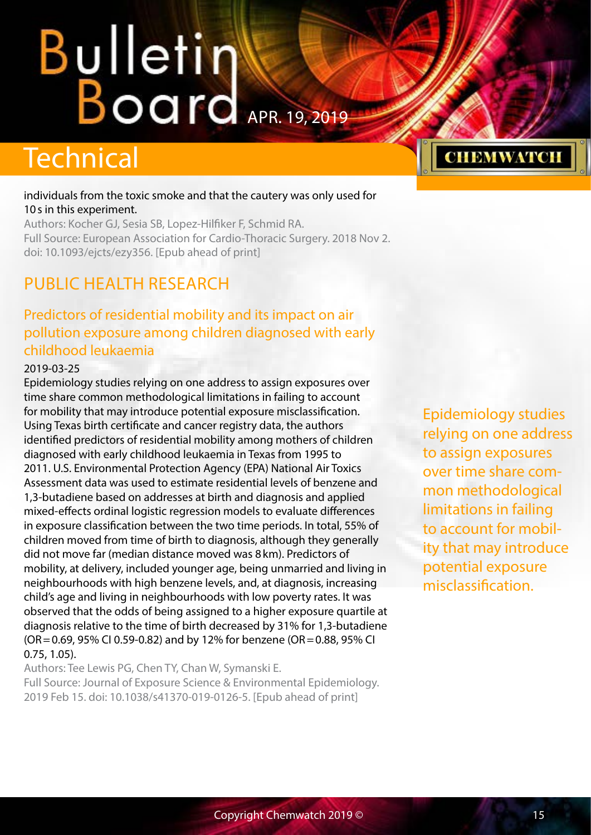## <span id="page-14-0"></span>**Bulletintendents**

## **Technical**

#### individuals from the toxic smoke and that the cautery was only used for 10s in this experiment.

Authors: Kocher GJ, Sesia SB, Lopez-Hilfiker F, Schmid RA. Full Source: European Association for Cardio-Thoracic Surgery. 2018 Nov 2. doi: 10.1093/ejcts/ezy356. [Epub ahead of print]

#### PUBLIC HEALTH RESEARCH

#### Predictors of residential mobility and its impact on air pollution exposure among children diagnosed with early childhood leukaemia

#### 2019-03-25

Epidemiology studies relying on one address to assign exposures over time share common methodological limitations in failing to account for mobility that may introduce potential exposure misclassification. Using Texas birth certificate and cancer registry data, the authors identified predictors of residential mobility among mothers of children diagnosed with early childhood leukaemia in Texas from 1995 to 2011. U.S. Environmental Protection Agency (EPA) National Air Toxics Assessment data was used to estimate residential levels of benzene and 1,3-butadiene based on addresses at birth and diagnosis and applied mixed-effects ordinal logistic regression models to evaluate differences in exposure classification between the two time periods. In total, 55% of children moved from time of birth to diagnosis, although they generally did not move far (median distance moved was 8km). Predictors of mobility, at delivery, included younger age, being unmarried and living in neighbourhoods with high benzene levels, and, at diagnosis, increasing child's age and living in neighbourhoods with low poverty rates. It was observed that the odds of being assigned to a higher exposure quartile at diagnosis relative to the time of birth decreased by 31% for 1,3-butadiene (OR=0.69, 95% CI 0.59-0.82) and by 12% for benzene (OR=0.88, 95% CI 0.75, 1.05).

Authors: Tee Lewis PG, Chen TY, Chan W, Symanski E. Full Source: Journal of Exposure Science & Environmental Epidemiology. 2019 Feb 15. doi: 10.1038/s41370-019-0126-5. [Epub ahead of print]

Epidemiology studies relying on one address to assign exposures over time share common methodological limitations in failing to account for mobility that may introduce potential exposure misclassification.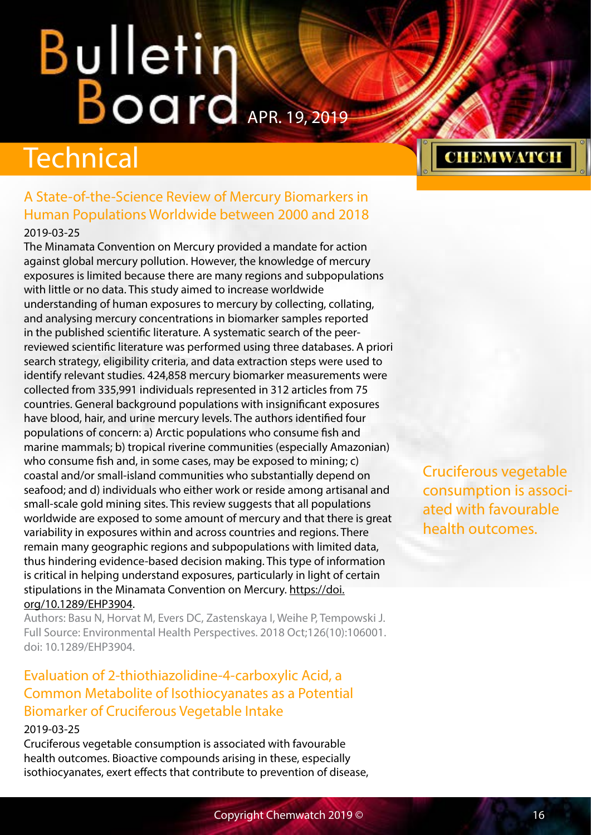## <span id="page-15-0"></span>**Bulletin Warrell**

### **Technical**

#### A State-of-the-Science Review of Mercury Biomarkers in Human Populations Worldwide between 2000 and 2018 2019-03-25

The Minamata Convention on Mercury provided a mandate for action against global mercury pollution. However, the knowledge of mercury exposures is limited because there are many regions and subpopulations with little or no data. This study aimed to increase worldwide understanding of human exposures to mercury by collecting, collating, and analysing mercury concentrations in biomarker samples reported in the published scientific literature. A systematic search of the peerreviewed scientific literature was performed using three databases. A priori search strategy, eligibility criteria, and data extraction steps were used to identify relevant studies. 424,858 mercury biomarker measurements were collected from 335,991 individuals represented in 312 articles from 75 countries. General background populations with insignificant exposures have blood, hair, and urine mercury levels. The authors identified four populations of concern: a) Arctic populations who consume fish and marine mammals; b) tropical riverine communities (especially Amazonian) who consume fish and, in some cases, may be exposed to mining; c) coastal and/or small-island communities who substantially depend on seafood; and d) individuals who either work or reside among artisanal and small-scale gold mining sites. This review suggests that all populations worldwide are exposed to some amount of mercury and that there is great variability in exposures within and across countries and regions. There remain many geographic regions and subpopulations with limited data, thus hindering evidence-based decision making. This type of information is critical in helping understand exposures, particularly in light of certain stipulations in the Minamata Convention on Mercury. [https://doi.](https://doi.org/10.1289/EHP3904) [org/10.1289/EHP3904.](https://doi.org/10.1289/EHP3904)

Authors: Basu N, Horvat M, Evers DC, Zastenskaya I, Weihe P, Tempowski J. Full Source: Environmental Health Perspectives. 2018 Oct;126(10):106001. doi: 10.1289/EHP3904.

#### Evaluation of 2-thiothiazolidine-4-carboxylic Acid, a Common Metabolite of Isothiocyanates as a Potential Biomarker of Cruciferous Vegetable Intake

#### 2019-03-25

Cruciferous vegetable consumption is associated with favourable health outcomes. Bioactive compounds arising in these, especially isothiocyanates, exert effects that contribute to prevention of disease, Cruciferous vegetable consumption is associated with favourable health outcomes.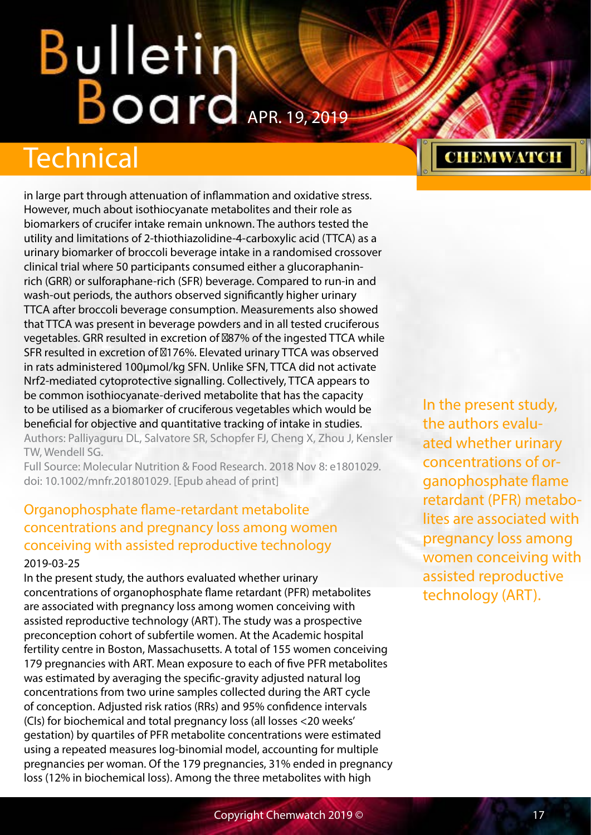## <span id="page-16-0"></span>Bulletin Board APR. 19, 2019

## Technical

in large part through attenuation of inflammation and oxidative stress. However, much about isothiocyanate metabolites and their role as biomarkers of crucifer intake remain unknown. The authors tested the utility and limitations of 2-thiothiazolidine-4-carboxylic acid (TTCA) as a urinary biomarker of broccoli beverage intake in a randomised crossover clinical trial where 50 participants consumed either a glucoraphaninrich (GRR) or sulforaphane-rich (SFR) beverage. Compared to run-in and wash-out periods, the authors observed significantly higher urinary TTCA after broccoli beverage consumption. Measurements also showed that TTCA was present in beverage powders and in all tested cruciferous vegetables. GRR resulted in excretion of 87% of the ingested TTCA while SFR resulted in excretion of ∼176%. Elevated urinary TTCA was observed in rats administered 100μmol/kg SFN. Unlike SFN, TTCA did not activate Nrf2-mediated cytoprotective signalling. Collectively, TTCA appears to be common isothiocyanate-derived metabolite that has the capacity to be utilised as a biomarker of cruciferous vegetables which would be beneficial for objective and quantitative tracking of intake in studies. Authors: Palliyaguru DL, Salvatore SR, Schopfer FJ, Cheng X, Zhou J, Kensler

TW, Wendell SG. Full Source: Molecular Nutrition & Food Research. 2018 Nov 8: e1801029.

doi: 10.1002/mnfr.201801029. [Epub ahead of print]

#### Organophosphate flame-retardant metabolite concentrations and pregnancy loss among women conceiving with assisted reproductive technology 2019-03-25

In the present study, the authors evaluated whether urinary concentrations of organophosphate flame retardant (PFR) metabolites are associated with pregnancy loss among women conceiving with assisted reproductive technology (ART). The study was a prospective preconception cohort of subfertile women. At the Academic hospital fertility centre in Boston, Massachusetts. A total of 155 women conceiving 179 pregnancies with ART. Mean exposure to each of five PFR metabolites was estimated by averaging the specific-gravity adjusted natural log concentrations from two urine samples collected during the ART cycle of conception. Adjusted risk ratios (RRs) and 95% confidence intervals (CIs) for biochemical and total pregnancy loss (all losses <20 weeks' gestation) by quartiles of PFR metabolite concentrations were estimated using a repeated measures log-binomial model, accounting for multiple pregnancies per woman. Of the 179 pregnancies, 31% ended in pregnancy loss (12% in biochemical loss). Among the three metabolites with high

In the present study, the authors evaluated whether urinary concentrations of organophosphate flame retardant (PFR) metabolites are associated with pregnancy loss among women conceiving with assisted reproductive technology (ART).